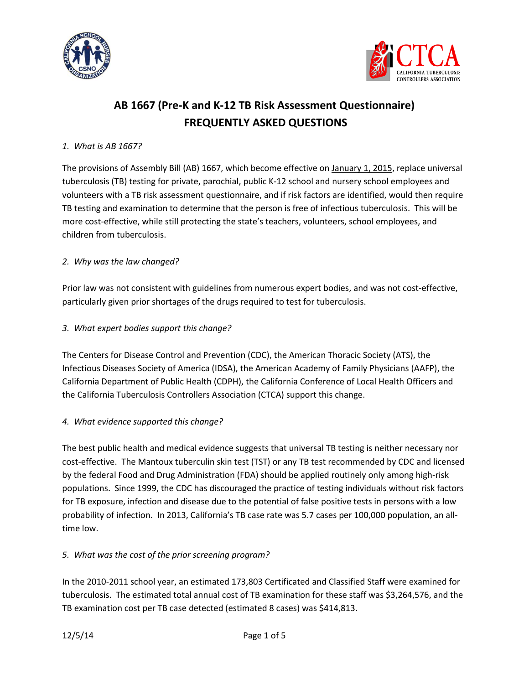



# **AB 1667 (Pre-K and K-12 TB Risk Assessment Questionnaire) FREQUENTLY ASKED QUESTIONS**

#### *1. What is AB 1667?*

The provisions of Assembly Bill (AB) 1667, which become effective on January 1, 2015, replace universal tuberculosis (TB) testing for private, parochial, public K-12 school and nursery school employees and volunteers with a TB risk assessment questionnaire, and if risk factors are identified, would then require TB testing and examination to determine that the person is free of infectious tuberculosis. This will be more cost-effective, while still protecting the state's teachers, volunteers, school employees, and children from tuberculosis.

#### *2. Why was the law changed?*

Prior law was not consistent with guidelines from numerous expert bodies, and was not cost-effective, particularly given prior shortages of the drugs required to test for tuberculosis.

#### *3. What expert bodies support this change?*

The Centers for Disease Control and Prevention (CDC), the American Thoracic Society (ATS), the Infectious Diseases Society of America (IDSA), the American Academy of Family Physicians (AAFP), the California Department of Public Health (CDPH), the California Conference of Local Health Officers and the California Tuberculosis Controllers Association (CTCA) support this change.

#### *4. What evidence supported this change?*

The best public health and medical evidence suggests that universal TB testing is neither necessary nor cost-effective. The Mantoux tuberculin skin test (TST) or any TB test recommended by CDC and licensed by the federal Food and Drug Administration (FDA) should be applied routinely only among high-risk populations. Since 1999, the CDC has discouraged the practice of testing individuals without risk factors for TB exposure, infection and disease due to the potential of false positive tests in persons with a low probability of infection. In 2013, California's TB case rate was 5.7 cases per 100,000 population, an alltime low.

#### *5. What was the cost of the prior screening program?*

In the 2010-2011 school year, an estimated 173,803 Certificated and Classified Staff were examined for tuberculosis. The estimated total annual cost of TB examination for these staff was \$3,264,576, and the TB examination cost per TB case detected (estimated 8 cases) was \$414,813.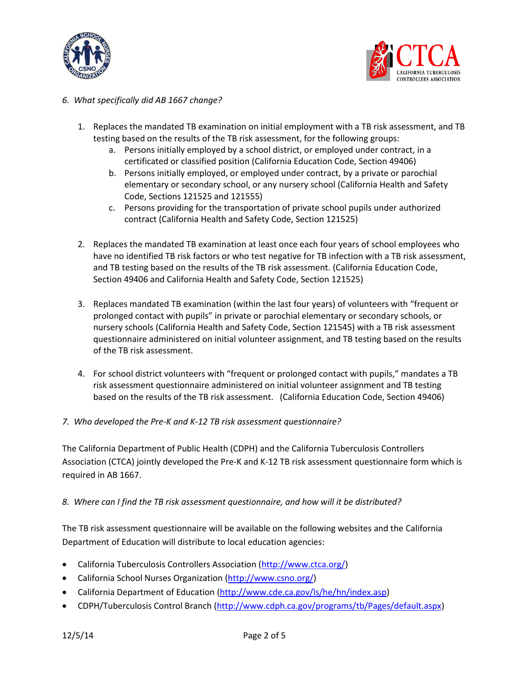



#### *6. What specifically did AB 1667 change?*

- 1. Replaces the mandated TB examination on initial employment with a TB risk assessment, and TB testing based on the results of the TB risk assessment, for the following groups:
	- a. Persons initially employed by a school district, or employed under contract, in a certificated or classified position (California Education Code, Section 49406)
	- b. Persons initially employed, or employed under contract, by a private or parochial elementary or secondary school, or any nursery school (California Health and Safety Code, Sections 121525 and 121555)
	- c. Persons providing for the transportation of private school pupils under authorized contract (California Health and Safety Code, Section 121525)
- 2. Replaces the mandated TB examination at least once each four years of school employees who have no identified TB risk factors or who test negative for TB infection with a TB risk assessment, and TB testing based on the results of the TB risk assessment. (California Education Code, Section 49406 and California Health and Safety Code, Section 121525)
- 3. Replaces mandated TB examination (within the last four years) of volunteers with "frequent or prolonged contact with pupils" in private or parochial elementary or secondary schools, or nursery schools (California Health and Safety Code, Section 121545) with a TB risk assessment questionnaire administered on initial volunteer assignment, and TB testing based on the results of the TB risk assessment.
- 4. For school district volunteers with "frequent or prolonged contact with pupils," mandates a TB risk assessment questionnaire administered on initial volunteer assignment and TB testing based on the results of the TB risk assessment. (California Education Code, Section 49406)
- *7. Who developed the Pre-K and K-12 TB risk assessment questionnaire?*

The California Department of Public Health (CDPH) and the California Tuberculosis Controllers Association (CTCA) jointly developed the Pre-K and K-12 TB risk assessment questionnaire form which is required in AB 1667.

#### *8. Where can I find the TB risk assessment questionnaire, and how will it be distributed?*

The TB risk assessment questionnaire will be available on the following websites and the California Department of Education will distribute to local education agencies:

- California Tuberculosis Controllers Association [\(http://www.ctca.org/\)](http://www.ctca.org/)
- California School Nurses Organization [\(http://www.csno.org/\)](http://www.csno.org/)
- California Department of Education [\(http://www.cde.ca.gov/ls/he/hn/index.asp\)](http://www.cde.ca.gov/ls/he/hn/index.asp)
- CDPH/Tuberculosis Control Branch [\(http://www.cdph.ca.gov/programs/tb/Pages/default.aspx\)](http://www.cdph.ca.gov/programs/tb/Pages/default.aspx)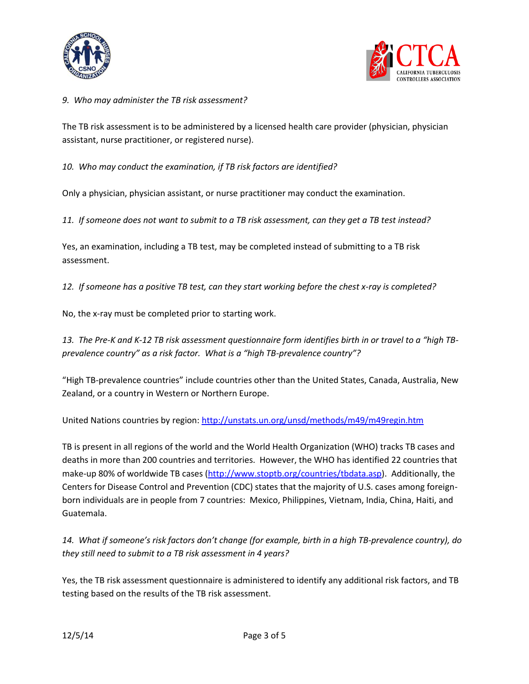



*9. Who may administer the TB risk assessment?*

The TB risk assessment is to be administered by a licensed health care provider (physician, physician assistant, nurse practitioner, or registered nurse).

*10. Who may conduct the examination, if TB risk factors are identified?*

Only a physician, physician assistant, or nurse practitioner may conduct the examination.

*11. If someone does not want to submit to a TB risk assessment, can they get a TB test instead?*

Yes, an examination, including a TB test, may be completed instead of submitting to a TB risk assessment.

*12. If someone has a positive TB test, can they start working before the chest x-ray is completed?*

No, the x-ray must be completed prior to starting work.

*13. The Pre-K and K-12 TB risk assessment questionnaire form identifies birth in or travel to a "high TBprevalence country" as a risk factor. What is a "high TB-prevalence country"?*

"High TB-prevalence countries" include countries other than the United States, Canada, Australia, New Zealand, or a country in Western or Northern Europe.

United Nations countries by region:<http://unstats.un.org/unsd/methods/m49/m49regin.htm>

TB is present in all regions of the world and the World Health Organization (WHO) tracks TB cases and deaths in more than 200 countries and territories. However, the WHO has identified 22 countries that make-up 80% of worldwide TB cases [\(http://www.stoptb.org/countries/tbdata.asp\)](http://www.stoptb.org/countries/tbdata.asp). Additionally, the Centers for Disease Control and Prevention (CDC) states that the majority of U.S. cases among foreignborn individuals are in people from 7 countries: Mexico, Philippines, Vietnam, India, China, Haiti, and Guatemala.

*14. What if someone's risk factors don't change (for example, birth in a high TB-prevalence country), do they still need to submit to a TB risk assessment in 4 years?*

Yes, the TB risk assessment questionnaire is administered to identify any additional risk factors, and TB testing based on the results of the TB risk assessment.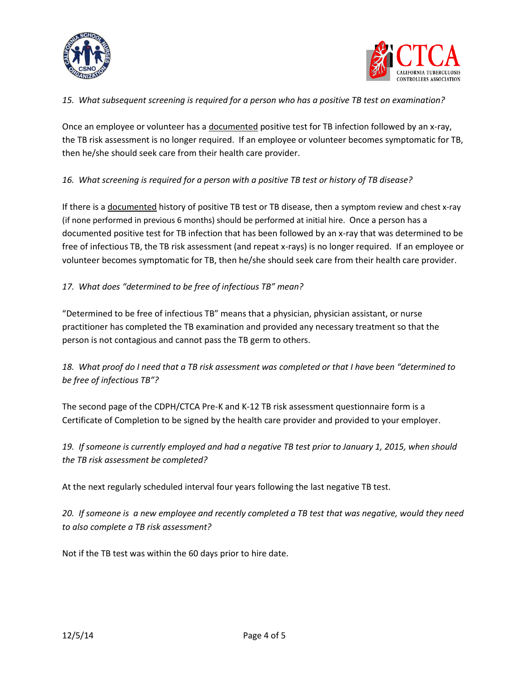



#### *15. What subsequent screening is required for a person who has a positive TB test on examination?*

Once an employee or volunteer has a documented positive test for TB infection followed by an x-ray, the TB risk assessment is no longer required. If an employee or volunteer becomes symptomatic for TB, then he/she should seek care from their health care provider.

## *16. What screening is required for a person with a positive TB test or history of TB disease?*

If there is a documented history of positive TB test or TB disease, then a symptom review and chest x-ray (if none performed in previous 6 months) should be performed at initial hire. Once a person has a documented positive test for TB infection that has been followed by an x-ray that was determined to be free of infectious TB, the TB risk assessment (and repeat x-rays) is no longer required. If an employee or volunteer becomes symptomatic for TB, then he/she should seek care from their health care provider.

### *17. What does "determined to be free of infectious TB" mean?*

"Determined to be free of infectious TB" means that a physician, physician assistant, or nurse practitioner has completed the TB examination and provided any necessary treatment so that the person is not contagious and cannot pass the TB germ to others.

## *18. What proof do I need that a TB risk assessment was completed or that I have been "determined to be free of infectious TB"?*

The second page of the CDPH/CTCA Pre-K and K-12 TB risk assessment questionnaire form is a Certificate of Completion to be signed by the health care provider and provided to your employer.

*19. If someone is currently employed and had a negative TB test prior to January 1, 2015, when should the TB risk assessment be completed?*

At the next regularly scheduled interval four years following the last negative TB test.

*20. If someone is a new employee and recently completed a TB test that was negative, would they need to also complete a TB risk assessment?*

Not if the TB test was within the 60 days prior to hire date.